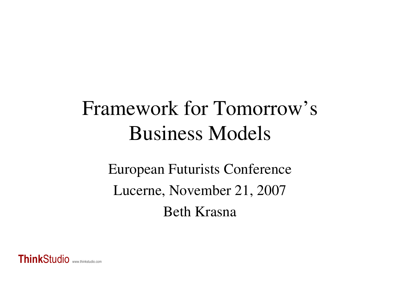# Framework for Tomorrow's Business Models

European Futurists ConferenceLucerne, November 21, 2007Beth Krasna

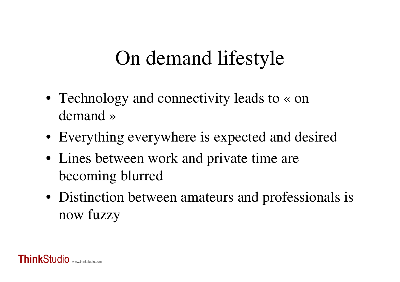# On demand lifestyle

- Technology and connectivity leads to « on demand »
- Everything everywhere is expected and desired
- Lines between work and private time are becoming blurred
- Distinction between amateurs and professionals isnow fuzzy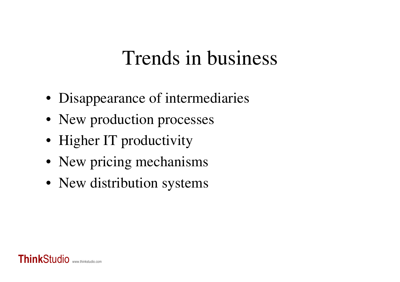### Trends in business

- Disappearance of intermediaries
- New production processes
- Higher IT productivity
- New pricing mechanisms
- New distribution systems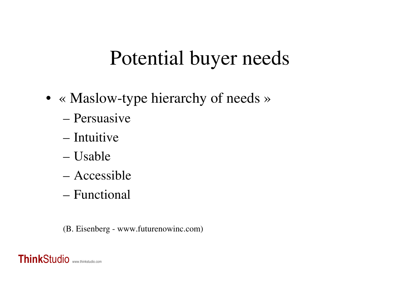## Potential buyer needs

- « Maslow-type hierarchy of needs »
	- Persuasive
	- Intuitive
	- Usable
	- Accessible
	- Functional

(B. Eisenberg - www.futurenowinc.com)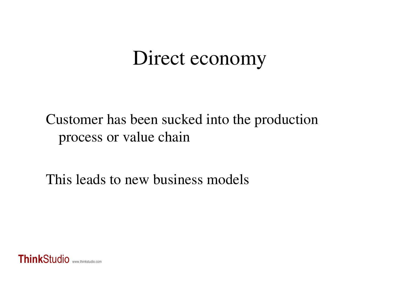## Direct economy

#### Customer has been sucked into the production process or value chain

This leads to new business models

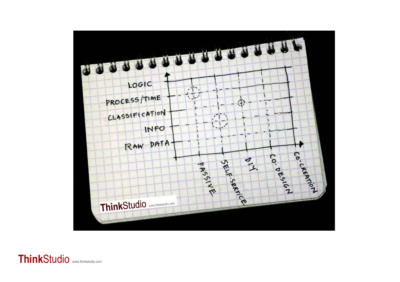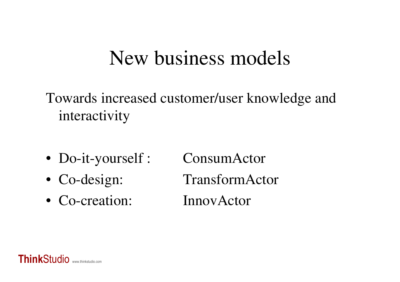#### New business models

Towards increased customer/user knowledge and interactivity

- Do-it-yourself : ConsumActor
- Co-design:
- Co-creation: InnovActor

TransformActor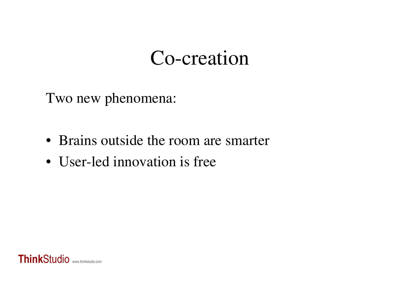#### Co-creation

Two new phenomena:

- Brains outside the room are smarter
- User-led innovation is free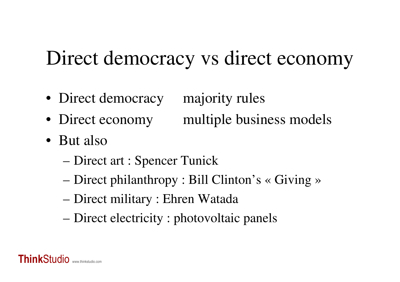# Direct democracy vs direct economy

- Direct democracy majority rules
- Direct economy multiple business models
- But also
	- Direct art : Spencer Tunick
	- –Direct philanthropy : Bill Clinton's « Giving »
	- –Direct military : Ehren Watada
	- Direct electricity : photovoltaic panels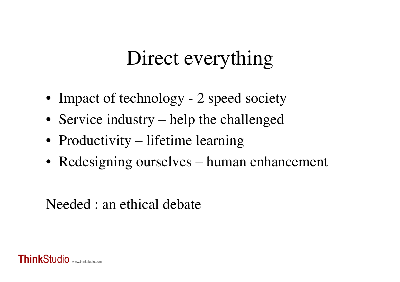# Direct everything

- Impact of technology 2 speed society
- Service industry help the challenged
- Productivity lifetime learning
- Redesigning ourselves human enhancement

#### Needed : an ethical debate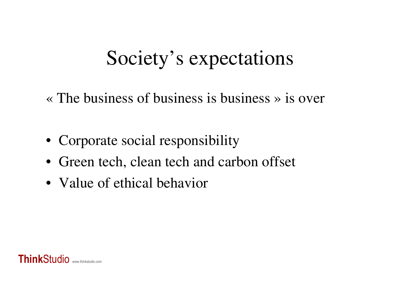# Society's expectations

«The business of business is business » is over

- Corporate social responsibility
- Green tech, clean tech and carbon offset
- Value of ethical behavior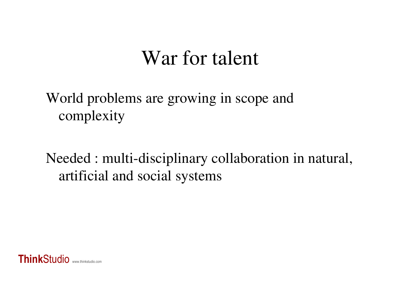#### War for talent

World problems are growing in scope and complexity

Needed : multi-disciplinary collaboration in natural, artificial and social systems

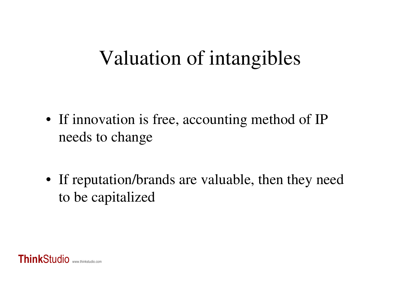# Valuation of intangibles

- If innovation is free, accounting method of IP needs to change
- If reputation/brands are valuable, then they needto be capitalized